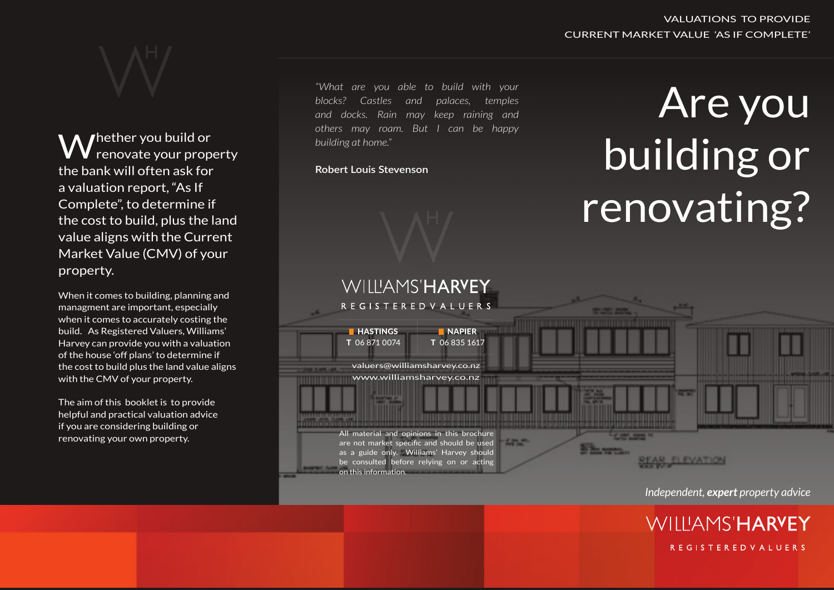Thether you build or renovate your property the bank will often ask for a valuation report, "As If Complete", to determine if the cost to build, plus the land value aligns with the Current Market Value (CMV) of your property.

When it comes to building, planning and managment are important, especially when it comes to accurately costing the build. As Registered Valuers, Williams' Harvey can provide you with a valuation of the house 'off plans' to determine if the cost to build plus the land value aligns with the CMV of your property.

The aim of this booklet is to provide helpful and practical valuation advice if you are considering building or renovating your own property.

*"What are you able to build with your blocks? Castles and palaces, temples and docks. Rain may keep raining and others may roam. But I can be happy building at home."*

### **Robert Louis Stevenson**



## VALUATIONS TO PROVIDE CURRENT MARKET VALUE 'AS IF COMPLETE'

# Are you building or renovating?



*Independent, expert property advice*

**WILLIAMS'HARYEY REGISTEREDVALUERS**